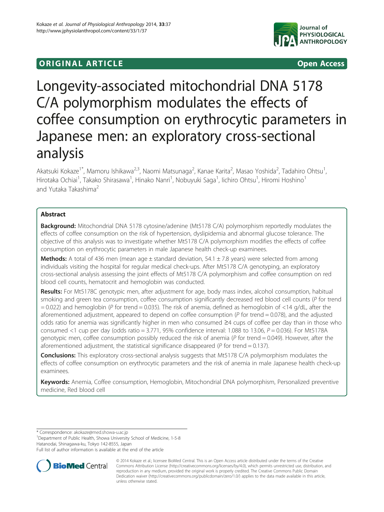## **ORIGINAL ARTICLE CONSUMING A LIGACION** CONSUMING A LIGACION CONSUMING A LIGACION CONSUMING A LIGACION CONSUMING A LIGACION CONSUMING A LIGACION CONSUMING A LIGACION CONSUMING A LIGACION CONSUMING A LIGACION CONSUMING A



# Longevity-associated mitochondrial DNA 5178 C/A polymorphism modulates the effects of coffee consumption on erythrocytic parameters in Japanese men: an exploratory cross-sectional analysis

Akatsuki Kokaze<sup>1\*</sup>, Mamoru Ishikawa<sup>2,3</sup>, Naomi Matsunaga<sup>2</sup>, Kanae Karita<sup>2</sup>, Masao Yoshida<sup>2</sup>, Tadahiro Ohtsu<sup>1</sup> , Hirotaka Ochiai<sup>1</sup>, Takako Shirasawa<sup>1</sup>, Hinako Nanri<sup>1</sup>, Nobuyuki Saga<sup>1</sup>, Iichiro Ohtsu<sup>1</sup>, Hiromi Hoshino<sup>1</sup> and Yutaka Takashima<sup>2</sup>

## Abstract

**Background:** Mitochondrial DNA 5178 cytosine/adenine (Mt5178 C/A) polymorphism reportedly modulates the effects of coffee consumption on the risk of hypertension, dyslipidemia and abnormal glucose tolerance. The objective of this analysis was to investigate whether Mt5178 C/A polymorphism modifies the effects of coffee consumption on erythrocytic parameters in male Japanese health check-up examinees.

**Methods:** A total of 436 men (mean age  $\pm$  standard deviation, 54.1  $\pm$  7.8 years) were selected from among individuals visiting the hospital for regular medical check-ups. After Mt5178 C/A genotyping, an exploratory cross-sectional analysis assessing the joint effects of Mt5178 C/A polymorphism and coffee consumption on red blood cell counts, hematocrit and hemoglobin was conducted.

Results: For Mt5178C genotypic men, after adjustment for age, body mass index, alcohol consumption, habitual smoking and green tea consumption, coffee consumption significantly decreased red blood cell counts (P for trend  $= 0.022$ ) and hemoglobin (P for trend  $= 0.035$ ). The risk of anemia, defined as hemoglobin of  $< 14$  g/dL, after the aforementioned adjustment, appeared to depend on coffee consumption ( $P$  for trend = 0.078), and the adjusted odds ratio for anemia was significantly higher in men who consumed ≥4 cups of coffee per day than in those who consumed <1 cup per day (odds ratio = 3.771, 95% confidence interval: 1.088 to 13.06,  $P = 0.036$ ). For Mt5178A genotypic men, coffee consumption possibly reduced the risk of anemia ( $P$  for trend = 0.049). However, after the aforementioned adjustment, the statistical significance disappeared ( $P$  for trend = 0.137).

Conclusions: This exploratory cross-sectional analysis suggests that Mt5178 C/A polymorphism modulates the effects of coffee consumption on erythrocytic parameters and the risk of anemia in male Japanese health check-up examinees.

Keywords: Anemia, Coffee consumption, Hemoglobin, Mitochondrial DNA polymorphism, Personalized preventive medicine, Red blood cell

\* Correspondence: [akokaze@med.showa-u.ac.jp](mailto:akokaze@med.showa-u.ac.jp) <sup>1</sup>

<sup>1</sup>Department of Public Health, Showa University School of Medicine, 1-5-8 Hatanodai, Shinagawa-ku, Tokyo 142-8555, Japan

Full list of author information is available at the end of the article



© 2014 Kokaze et al.; licensee BioMed Central. This is an Open Access article distributed under the terms of the Creative Commons Attribution License [\(http://creativecommons.org/licenses/by/4.0\)](http://creativecommons.org/licenses/by/4.0), which permits unrestricted use, distribution, and reproduction in any medium, provided the original work is properly credited. The Creative Commons Public Domain Dedication waiver [\(http://creativecommons.org/publicdomain/zero/1.0/](http://creativecommons.org/publicdomain/zero/1.0/)) applies to the data made available in this article, unless otherwise stated.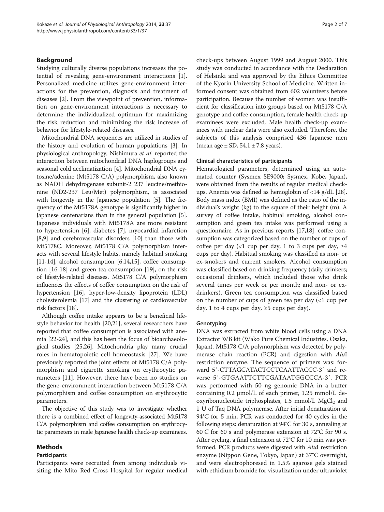## Background

Studying culturally diverse populations increases the potential of revealing gene-environment interactions [\[1](#page-5-0)]. Personalized medicine utilizes gene-environment interactions for the prevention, diagnosis and treatment of diseases [[2\]](#page-5-0). From the viewpoint of prevention, information on gene-environment interactions is necessary to determine the individualized optimum for maximizing the risk reduction and minimizing the risk increase of behavior for lifestyle-related diseases.

Mitochondrial DNA sequences are utilized in studies of the history and evolution of human populations [\[3](#page-5-0)]. In physiological anthropology, Nishimura et al. reported the interaction between mitochondrial DNA haplogroups and seasonal cold acclimatization [\[4\]](#page-5-0). Mitochondrial DNA cytosine/adenine (Mt5178 C/A) polymorphism, also known as NADH dehydrogenase subunit-2 237 leucine/methionine (ND2-237 Leu/Met) polymorphism, is associated with longevity in the Japanese population [[5](#page-5-0)]. The frequency of the Mt5178A genotype is significantly higher in Japanese centenarians than in the general population [[5](#page-5-0)]. Japanese individuals with Mt5178A are more resistant to hypertension [\[6](#page-5-0)], diabetes [[7\]](#page-5-0), myocardial infarction [[8,9](#page-5-0)] and cerebrovascular disorders [\[10\]](#page-5-0) than those with Mt5178C. Moreover, Mt5178 C/A polymorphism interacts with several lifestyle habits, namely habitual smoking [[11](#page-5-0)-[14\]](#page-6-0), alcohol consumption [[6,](#page-5-0)[14,15](#page-6-0)], coffee consumption [\[16-18\]](#page-6-0) and green tea consumption [\[19](#page-6-0)], on the risk of lifestyle-related diseases. Mt5178 C/A polymorphism influences the effects of coffee consumption on the risk of hypertension [[16](#page-6-0)], hyper-low-density lipoprotein (LDL) cholesterolemia [\[17](#page-6-0)] and the clustering of cardiovascular risk factors [\[18](#page-6-0)].

Although coffee intake appears to be a beneficial lifestyle behavior for health [\[20,21\]](#page-6-0), several researchers have reported that coffee consumption is associated with anemia [[22-24](#page-6-0)], and this has been the focus of bioarchaeological studies [\[25,26\]](#page-6-0). Mitochondria play many crucial roles in hematopoietic cell homeostasis [\[27](#page-6-0)]. We have previously reported the joint effects of Mt5178 C/A polymorphism and cigarette smoking on erythrocytic parameters [\[11](#page-5-0)]. However, there have been no studies on the gene-environment interaction between Mt5178 C/A polymorphism and coffee consumption on erythrocytic parameters.

The objective of this study was to investigate whether there is a combined effect of longevity-associated Mt5178 C/A polymorphism and coffee consumption on erythrocytic parameters in male Japanese health check-up examinees.

## Methods

### Participants

Participants were recruited from among individuals visiting the Mito Red Cross Hospital for regular medical check-ups between August 1999 and August 2000. This study was conducted in accordance with the Declaration of Helsinki and was approved by the Ethics Committee of the Kyorin University School of Medicine. Written informed consent was obtained from 602 volunteers before participation. Because the number of women was insufficient for classification into groups based on Mt5178 C/A genotype and coffee consumption, female health check-up examinees were excluded. Male health check-up examinees with unclear data were also excluded. Therefore, the subjects of this analysis comprised 436 Japanese men (mean age  $\pm$  SD, 54.1  $\pm$  7.8 years).

## Clinical characteristics of participants

Hematological parameters, determined using an automated counter (Sysmex SE9000; Sysmex, Kobe, Japan), were obtained from the results of regular medical checkups. Anemia was defined as hemoglobin of <14 g/dL [[28](#page-6-0)]. Body mass index (BMI) was defined as the ratio of the individual's weight (kg) to the square of their height (m). A survey of coffee intake, habitual smoking, alcohol consumption and green tea intake was performed using a questionnaire. As in previous reports [\[17,18](#page-6-0)], coffee consumption was categorized based on the number of cups of coffee per day (<1 cup per day, 1 to 3 cups per day,  $\geq$ 4 cups per day). Habitual smoking was classified as non- or ex-smokers and current smokers. Alcohol consumption was classified based on drinking frequency (daily drinkers; occasional drinkers, which included those who drink several times per week or per month; and non- or exdrinkers). Green tea consumption was classified based on the number of cups of green tea per day (<1 cup per day, 1 to 4 cups per day,  $\geq$ 5 cups per day).

### Genotyping

DNA was extracted from white blood cells using a DNA Extractor WB kit (Wako Pure Chemical Industries, Osaka, Japan). Mt5178 C/A polymorphism was detected by polymerase chain reaction (PCR) and digestion with AluI restriction enzyme. The sequence of primers was: forward 5′-CTTAGCATACTCCTCAATTACCC-3′ and reverse 5′-GTGAATTCTTCGATAATGGCCCA-3′. PCR was performed with 50 ng genomic DNA in a buffer containing 0.2 μmol/L of each primer, 1.25 mmol/L deoxyribonucleotide triphosphates,  $1.5 \text{ mmol/L } \text{MgCl}_2$  and 1 U of Taq DNA polymerase. After initial denaturation at 94°C for 5 min, PCR was conducted for 40 cycles in the following steps: denaturation at 94°C for 30 s, annealing at 60°C for 60 s and polymerase extension at 72°C for 90 s. After cycling, a final extension at 72°C for 10 min was performed. PCR products were digested with AluI restriction enzyme (Nippon Gene, Tokyo, Japan) at 37°C overnight, and were electrophoresed in 1.5% agarose gels stained with ethidium bromide for visualization under ultraviolet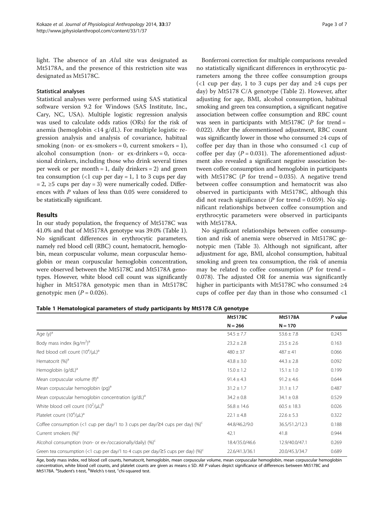light. The absence of an *AluI* site was designated as Mt5178A, and the presence of this restriction site was designated as Mt5178C.

## Statistical analyses

Statistical analyses were performed using SAS statistical software version 9.2 for Windows (SAS Institute, Inc., Cary, NC, USA). Multiple logistic regression analysis was used to calculate odds ratios (ORs) for the risk of anemia (hemoglobin <14 g/dL). For multiple logistic regression analysis and analysis of covariance, habitual smoking (non- or ex-smokers =  $0$ , current smokers =  $1$ ), alcohol consumption (non- or ex-drinkers = 0, occasional drinkers, including those who drink several times per week or per month  $= 1$ , daily drinkers  $= 2$ ) and green tea consumption (<1 cup per day = 1, 1 to 3 cups per day  $= 2$ ,  $\ge 5$  cups per day  $= 3$ ) were numerically coded. Differences with P values of less than 0.05 were considered to be statistically significant.

## Results

In our study population, the frequency of Mt5178C was 41.0% and that of Mt5178A genotype was 39.0% (Table 1). No significant differences in erythrocytic parameters, namely red blood cell (RBC) count, hematocrit, hemoglobin, mean corpuscular volume, mean corpuscular hemoglobin or mean corpuscular hemoglobin concentration, were observed between the Mt5178C and Mt5178A genotypes. However, white blood cell count was significantly higher in Mt5178A genotypic men than in Mt5178C genotypic men  $(P = 0.026)$ .

Bonferroni correction for multiple comparisons revealed no statistically significant differences in erythrocytic parameters among the three coffee consumption groups (<1 cup per day, 1 to 3 cups per day and ≥4 cups per day) by Mt5178 C/A genotype (Table [2](#page-3-0)). However, after adjusting for age, BMI, alcohol consumption, habitual smoking and green tea consumption, a significant negative association between coffee consumption and RBC count was seen in participants with Mt5178C ( $P$  for trend = 0.022). After the aforementioned adjustment, RBC count was significantly lower in those who consumed ≥4 cups of coffee per day than in those who consumed <1 cup of coffee per day  $(P = 0.031)$ . The aforementioned adjustment also revealed a significant negative association between coffee consumption and hemoglobin in participants with Mt5178C (P for trend = 0.035). A negative trend between coffee consumption and hematocrit was also observed in participants with Mt5178C, although this did not reach significance ( $P$  for trend = 0.059). No significant relationships between coffee consumption and erythrocytic parameters were observed in participants with Mt5178A.

No significant relationships between coffee consumption and risk of anemia were observed in Mt5178C genotypic men (Table [3](#page-3-0)). Although not significant, after adjustment for age, BMI, alcohol consumption, habitual smoking and green tea consumption, the risk of anemia may be related to coffee consumption ( $P$  for trend = 0.078). The adjusted OR for anemia was significantly higher in participants with Mt5178C who consumed  $\geq 4$ cups of coffee per day than in those who consumed <1

## Table 1 Hematological parameters of study participants by Mt5178 C/A genotype

|                                                                                                    | Mt5178C         | Mt5178A         | P value |
|----------------------------------------------------------------------------------------------------|-----------------|-----------------|---------|
|                                                                                                    | $N = 266$       | $N = 170$       |         |
| Age $(y)^a$                                                                                        | $54.5 \pm 7.7$  | $53.6 \pm 7.8$  | 0.243   |
| Body mass index (kg/m <sup>2</sup> ) <sup>a</sup>                                                  | $23.2 \pm 2.8$  | $23.5 \pm 2.6$  | 0.163   |
| Red blood cell count $(10^4/\mu L)^a$                                                              | $480 \pm 37$    | $487 \pm 41$    | 0.066   |
| Hematocrit (%) <sup>a</sup>                                                                        | $43.8 \pm 3.0$  | $44.3 \pm 2.8$  | 0.092   |
| Hemoglobin (g/dL) <sup>a</sup>                                                                     | $15.0 \pm 1.2$  | $15.1 \pm 1.0$  | 0.199   |
| Mean corpuscular volume (fl) <sup>a</sup>                                                          | $91.4 \pm 4.3$  | $91.2 \pm 4.6$  | 0.644   |
| Mean corpuscular hemoglobin (pg) <sup>a</sup>                                                      | $31.2 \pm 1.7$  | $31.1 \pm 1.7$  | 0.487   |
| Mean corpuscular hemoglobin concentration (g/dL) <sup>a</sup>                                      | $34.2 \pm 0.8$  | $34.1 \pm 0.8$  | 0.529   |
| White blood cell count $(10^2/\mu L)^b$                                                            | $56.8 \pm 14.6$ | $60.5 \pm 18.3$ | 0.026   |
| Platelet count $(10^4/\mu L)^a$                                                                    | $22.1 \pm 4.8$  | $22.6 \pm 5.3$  | 0.322   |
| Coffee consumption (<1 cup per day/1 to 3 cups per day/24 cups per day) $(\%)^c$                   | 44.8/46.2/9.0   | 36.5/51.2/12.3  | 0.188   |
| Current smokers (%) <sup>c</sup>                                                                   | 42.1            | 41.8            | 0.944   |
| Alcohol consumption (non- or ex-/occasionally/daily) $(\%)^c$                                      | 18.4/35.0/46.6  | 12.9/40.0/47.1  | 0.269   |
| Green tea consumption (<1 cup per day/1 to 4 cups per day/ $\geq$ 5 cups per day) (%) <sup>c</sup> | 22.6/41.3/36.1  | 20.0/45.3/34.7  | 0.689   |

Age, body mass index, red blood cell counts, hematocrit, hemoglobin, mean corpuscular volume, mean corpuscular hemoglobin, mean corpuscular hemoglobin concentration, white blood cell counts, and platelet counts are given as means ± SD. All P values depict significance of differences between Mt5178C and Mt5178A. <sup>a</sup>Student's t-test, <sup>b</sup>Welch's t-test, <sup>c</sup>chi-squared test.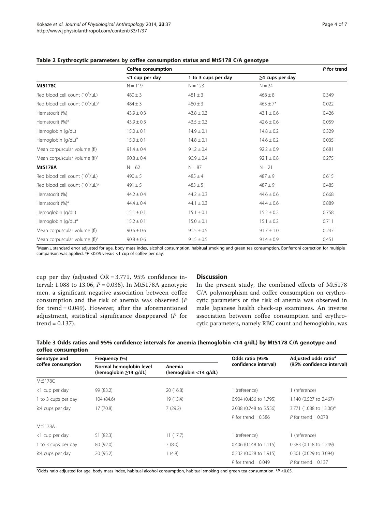|                                           | Coffee consumption |                     |                       | P for trend |  |
|-------------------------------------------|--------------------|---------------------|-----------------------|-------------|--|
|                                           | <1 cup per day     | 1 to 3 cups per day | $\geq$ 4 cups per day |             |  |
| Mt5178C                                   | $N = 119$          | $N = 123$           | $N = 24$              |             |  |
| Red blood cell count $(10^4/\mu L)$       | $480 \pm 3$        | $481 \pm 3$         | $468 \pm 8$           | 0.349       |  |
| Red blood cell count $(10^4/\mu L)^a$     | $484 \pm 3$        | $480 \pm 3$         | $463 \pm 7*$          | 0.022       |  |
| Hematocrit (%)                            | $43.9 \pm 0.3$     | $43.8 \pm 0.3$      | $43.1 \pm 0.6$        | 0.426       |  |
| Hematocrit (%) <sup>a</sup>               | $43.9 \pm 0.3$     | $43.5 \pm 0.3$      | $42.6 \pm 0.6$        | 0.059       |  |
| Hemoglobin (g/dL)                         | $15.0 \pm 0.1$     | $14.9 \pm 0.1$      | $14.8 \pm 0.2$        | 0.329       |  |
| Hemoglobin (g/dL) <sup>a</sup>            | $15.0 \pm 0.1$     | $14.8 \pm 0.1$      | $14.6 \pm 0.2$        | 0.035       |  |
| Mean corpuscular volume (fl)              | $91.4 \pm 0.4$     | $91.2 \pm 0.4$      | $92.2 \pm 0.9$        | 0.681       |  |
| Mean corpuscular volume (fl) <sup>a</sup> | $90.8 \pm 0.4$     | $90.9 \pm 0.4$      | $92.1 \pm 0.8$        | 0.275       |  |
| Mt5178A                                   | $N = 62$           | $N = 87$            | $N = 21$              |             |  |
| Red blood cell count $(10^4/\mu L)$       | $490 \pm 5$        | $485 \pm 4$         | $487 + 9$             | 0.615       |  |
| Red blood cell count $(10^4/\mu L)^a$     | $491 \pm 5$        | $483 \pm 5$         | $487 + 9$             | 0.485       |  |
| Hematocrit (%)                            | $44.2 \pm 0.4$     | $44.2 \pm 0.3$      | $44.6 \pm 0.6$        | 0.668       |  |
| Hematocrit (%) <sup>a</sup>               | $44.4 \pm 0.4$     | $44.1 \pm 0.3$      | $44.4 \pm 0.6$        | 0.889       |  |
| Hemoglobin (g/dL)                         | $15.1 \pm 0.1$     | $15.1 \pm 0.1$      | $15.2 \pm 0.2$        | 0.758       |  |
| Hemoglobin (g/dL) <sup>a</sup>            | $15.2 \pm 0.1$     | $15.0 \pm 0.1$      | $15.1 \pm 0.2$        | 0.711       |  |
| Mean corpuscular volume (fl)              | $90.6 \pm 0.6$     | $91.5 \pm 0.5$      | $91.7 \pm 1.0$        | 0.247       |  |
| Mean corpuscular volume (fl) <sup>a</sup> | $90.8 \pm 0.6$     | $91.5 \pm 0.5$      | $91.4 \pm 0.9$        | 0.451       |  |

<span id="page-3-0"></span>Table 2 Erythrocytic parameters by coffee consumption status and Mt5178 C/A genotype

a<br>Mean±standard error adjusted for age, body mass index, alcohol consumption, habitual smoking and green tea consumption. Bonferroni correction for multiple comparison was applied.  $*P < 0.05$  versus <1 cup of coffee per day.

cup per day (adjusted OR = 3.771, 95% confidence interval: 1.088 to 13.06,  $P = 0.036$ ). In Mt5178A genotypic men, a significant negative association between coffee consumption and the risk of anemia was observed (P for trend = 0.049). However, after the aforementioned adjustment, statistical significance disappeared (P for trend = 0.137).

## **Discussion**

In the present study, the combined effects of Mt5178 C/A polymorphism and coffee consumption on erythrocytic parameters or the risk of anemia was observed in male Japanese health check-up examinees. An inverse association between coffee consumption and erythrocytic parameters, namely RBC count and hemoglobin, was

|                    | Table 3 Odds ratios and 95% confidence intervals for anemia (hemoglobin <14 g/dL) by Mt5178 C/A genotype and                                                                                                                                                                                                                                                                                                                                                                               |                                                             |  |
|--------------------|--------------------------------------------------------------------------------------------------------------------------------------------------------------------------------------------------------------------------------------------------------------------------------------------------------------------------------------------------------------------------------------------------------------------------------------------------------------------------------------------|-------------------------------------------------------------|--|
| coffee consumption |                                                                                                                                                                                                                                                                                                                                                                                                                                                                                            |                                                             |  |
| .                  | $\blacksquare$ $\blacksquare$ $\blacksquare$ $\blacksquare$ $\blacksquare$ $\blacksquare$ $\blacksquare$ $\blacksquare$ $\blacksquare$ $\blacksquare$ $\blacksquare$ $\blacksquare$ $\blacksquare$ $\blacksquare$ $\blacksquare$ $\blacksquare$ $\blacksquare$ $\blacksquare$ $\blacksquare$ $\blacksquare$ $\blacksquare$ $\blacksquare$ $\blacksquare$ $\blacksquare$ $\blacksquare$ $\blacksquare$ $\blacksquare$ $\blacksquare$ $\blacksquare$ $\blacksquare$ $\blacksquare$ $\blacks$ | $\bigcap_{i=1}^{n}$ $\bigcup_{i=1}^{n}$ $\bigcap_{i=1}^{n}$ |  |

| Genotype and<br>coffee consumption | Frequency (%)                                          |                                    | Odds ratio (95%        | Adjusted odds ratio <sup>a</sup> |  |
|------------------------------------|--------------------------------------------------------|------------------------------------|------------------------|----------------------------------|--|
|                                    | Normal hemoglobin level<br>(hemoglobin $\geq$ 14 g/dL) | Anemia<br>(hemoglobin $<$ 14 g/dL) | confidence interval)   | (95% confidence interval)        |  |
| Mt5178C                            |                                                        |                                    |                        |                                  |  |
| <1 cup per day                     | 99 (83.2)                                              | 20(16.8)                           | 1 (reference)          | 1 (reference)                    |  |
| 1 to 3 cups per day                | 104 (84.6)                                             | 19 (15.4)                          | 0.904 (0.456 to 1.795) | 1.140 (0.527 to 2.467)           |  |
| $\geq$ 4 cups per day              | 17 (70.8)                                              | 7(29.2)                            | 2.038 (0.748 to 5.556) | 3.771 (1.088 to 13.06)*          |  |
|                                    |                                                        |                                    | P for trend = $0.386$  | P for trend = $0.078$            |  |
| Mt5178A                            |                                                        |                                    |                        |                                  |  |
| <1 cup per day                     | 51 (82.3)                                              | 11(17.7)                           | 1 (reference)          | 1 (reference)                    |  |
| 1 to 3 cups per day                | 80 (92.0)                                              | 7(8.0)                             | 0.406 (0.148 to 1.115) | 0.383 (0.118 to 1.249)           |  |
| $\geq$ 4 cups per day              | 20 (95.2)                                              | 1(4.8)                             | 0.232 (0.028 to 1.915) | 0.301 (0.029 to 3.094)           |  |
|                                    |                                                        |                                    | P for trend = $0.049$  | P for trend = $0.137$            |  |

<sup>a</sup>Odds ratio adjusted for age, body mass index, habitual alcohol consumption, habitual smoking and green tea consumption. \*P <0.05.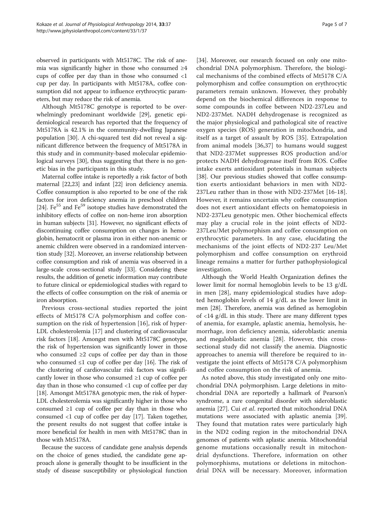observed in participants with Mt5178C. The risk of anemia was significantly higher in those who consumed ≥4 cups of coffee per day than in those who consumed <1 cup per day. In participants with Mt5178A, coffee consumption did not appear to influence erythrocytic parameters, but may reduce the risk of anemia.

Although Mt5178C genotype is reported to be overwhelmingly predominant worldwide [\[29\]](#page-6-0), genetic epidemiological research has reported that the frequency of Mt5178A is 42.1% in the community-dwelling Japanese population [[30](#page-6-0)]. A chi-squared test did not reveal a significant difference between the frequency of Mt5178A in this study and in community-based molecular epidemio-logical surveys [\[30](#page-6-0)], thus suggesting that there is no genetic bias in the participants in this study.

Maternal coffee intake is reportedly a risk factor of both maternal [[22,23\]](#page-6-0) and infant [\[22\]](#page-6-0) iron deficiency anemia. Coffee consumption is also reported to be one of the risk factors for iron deficiency anemia in preschool children [[24](#page-6-0)]. Fe<sup>55</sup> and Fe<sup>59</sup> isotope studies have demonstrated the inhibitory effects of coffee on non-heme iron absorption in human subjects [[31](#page-6-0)]. However, no significant effects of discontinuing coffee consumption on changes in hemoglobin, hematocrit or plasma iron in either non-anemic or anemic children were observed in a randomized intervention study [[32](#page-6-0)]. Moreover, an inverse relationship between coffee consumption and risk of anemia was observed in a large-scale cross-sectional study [[33](#page-6-0)]. Considering these results, the addition of genetic information may contribute to future clinical or epidemiological studies with regard to the effects of coffee consumption on the risk of anemia or iron absorption.

Previous cross-sectional studies reported the joint effects of Mt5178 C/A polymorphism and coffee consumption on the risk of hypertension [[16\]](#page-6-0), risk of hyper-LDL cholesterolemia [[17](#page-6-0)] and clustering of cardiovascular risk factors [[18](#page-6-0)]. Amongst men with Mt5178C genotype, the risk of hypertension was significantly lower in those who consumed  $\geq 2$  cups of coffee per day than in those who consumed  $\leq 1$  cup of coffee per day [\[16](#page-6-0)]. The risk of the clustering of cardiovascular risk factors was significantly lower in those who consumed ≥1 cup of coffee per day than in those who consumed <1 cup of coffee per day [[18](#page-6-0)]. Amongst Mt5178A genotypic men, the risk of hyper-LDL cholesterolemia was significantly higher in those who consumed  $\geq 1$  cup of coffee per day than in those who consumed <1 cup of coffee per day [\[17](#page-6-0)]. Taken together, the present results do not suggest that coffee intake is more beneficial for health in men with Mt5178C than in those with Mt5178A.

Because the success of candidate gene analysis depends on the choice of genes studied, the candidate gene approach alone is generally thought to be insufficient in the study of disease susceptibility or physiological function

[[34](#page-6-0)]. Moreover, our research focused on only one mitochondrial DNA polymorphism. Therefore, the biological mechanisms of the combined effects of Mt5178 C/A polymorphism and coffee consumption on erythrocytic parameters remain unknown. However, they probably depend on the biochemical differences in response to some compounds in coffee between ND2-237Leu and ND2-237Met. NADH dehydrogenase is recognized as the major physiological and pathological site of reactive oxygen species (ROS) generation in mitochondria, and itself as a target of assault by ROS [[35\]](#page-6-0). Extrapolation from animal models [[36,37\]](#page-6-0) to humans would suggest that ND2-237Met suppresses ROS production and/or protects NADH dehydrogenase itself from ROS. Coffee intake exerts antioxidant potentials in human subjects [[38](#page-6-0)]. Our previous studies showed that coffee consumption exerts antioxidant behaviors in men with ND2- 237Leu rather than in those with ND2-237Met [\[16](#page-6-0)-[18](#page-6-0)]. However, it remains uncertain why coffee consumption does not exert antioxidant effects on hematopoiesis in ND2-237Leu genotypic men. Other biochemical effects may play a crucial role in the joint effects of ND2- 237Leu/Met polymorphism and coffee consumption on erythrocytic parameters. In any case, elucidating the mechanisms of the joint effects of ND2-237 Leu/Met polymorphism and coffee consumption on erythroid lineage remains a matter for further pathophysiological investigation.

Although the World Health Organization defines the lower limit for normal hemoglobin levels to be 13 g/dL in men [[28\]](#page-6-0), many epidemiological studies have adopted hemoglobin levels of 14 g/dL as the lower limit in men [\[28](#page-6-0)]. Therefore, anemia was defined as hemoglobin of <14 g/dL in this study. There are many different types of anemia, for example, aplastic anemia, hemolysis, hemorrhage, iron deficiency anemia, sideroblastic anemia and megaloblastic anemia [[28](#page-6-0)]. However, this crosssectional study did not classify the anemia. Diagnostic approaches to anemia will therefore be required to investigate the joint effects of Mt5178 C/A polymorphism and coffee consumption on the risk of anemia.

As noted above, this study investigated only one mitochondrial DNA polymorphism. Large deletions in mitochondrial DNA are reportedly a hallmark of Pearson's syndrome, a rare congenital disorder with sideroblastic anemia [\[27](#page-6-0)]. Cui et al. reported that mitochondrial DNA mutations were associated with aplastic anemia [\[39](#page-6-0)]. They found that mutation rates were particularly high in the ND2 coding region in the mitochondrial DNA genomes of patients with aplastic anemia. Mitochondrial genome mutations occasionally result in mitochondrial dysfunctions. Therefore, information on other polymorphisms, mutations or deletions in mitochondrial DNA will be necessary. Moreover, information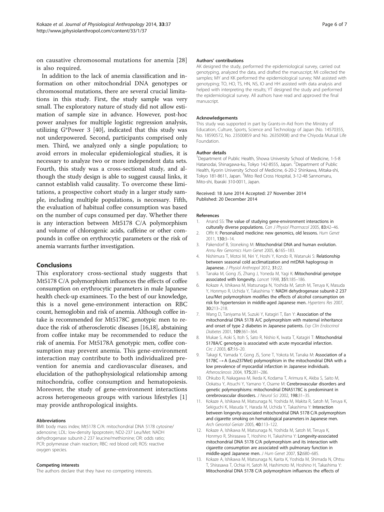<span id="page-5-0"></span>on causative chromosomal mutations for anemia [[28](#page-6-0)] is also required.

In addition to the lack of anemia classification and information on other mitochondrial DNA genotypes or chromosomal mutations, there are several crucial limitations in this study. First, the study sample was very small. The exploratory nature of study did not allow estimation of sample size in advance. However, post-hoc power analyses for multiple logistic regression analysis, utilizing G\*Power 3 [[40\]](#page-6-0), indicated that this study was not underpowered. Second, participants comprised only men. Third, we analyzed only a single population; to avoid errors in molecular epidemiological studies, it is necessary to analyze two or more independent data sets. Fourth, this study was a cross-sectional study, and although the study design is able to suggest causal links, it cannot establish valid causality. To overcome these limitations, a prospective cohort study in a larger study sample, including multiple populations, is necessary. Fifth, the evaluation of habitual coffee consumption was based on the number of cups consumed per day. Whether there is any interaction between Mt5178 C/A polymorphism and volume of chlorogenic acids, caffeine or other compounds in coffee on erythrocytic parameters or the risk of anemia warrants further investigation.

## Conclusions

This exploratory cross-sectional study suggests that Mt5178 C/A polymorphism influences the effects of coffee consumption on erythrocytic parameters in male Japanese health check-up examinees. To the best of our knowledge, this is a novel gene-environment interaction on RBC count, hemoglobin and risk of anemia. Although coffee intake is recommended for Mt5178C genotypic men to reduce the risk of atherosclerotic diseases [[16,18](#page-6-0)], abstaining from coffee intake may be recommended to reduce the risk of anemia. For Mt5178A genotypic men, coffee consumption may prevent anemia. This gene-environment interaction may contribute to both individualized prevention for anemia and cardiovascular diseases, and elucidation of the pathophysiological relationship among mitochondria, coffee consumption and hematopoiesis. Moreover, the study of gene-environment interactions across heterogeneous groups with various lifestyles [1] may provide anthropological insights.

### Abbreviations

BMI: body mass index; Mt5178 C/A: mitochondrial DNA 5178 cytosine/ adenosine; LDL: low-density lipoprotein; ND2-237 Leu/Met: NADH dehydrogenase subunit-2 237 leucine/methionine; OR: odds ratio; PCR: polymerase chain reaction; RBC: red blood cell; ROS: reactive oxygen species.

### Competing interests

The authors declare that they have no competing interests.

#### Authors' contributions

AK designed the study, performed the epidemiological survey, carried out genotyping, analyzed the data, and drafted the manuscript; MI collected the samples; MY and KK performed the epidemiological survey; NM assisted with genotyping; TO, HO, TS, HN, NS, IO and HH assisted with data analysis and helped with interpreting the results; YT designed the study and performed the epidemiological survey. All authors have read and approved the final manuscript.

#### Acknowledgements

This study was supported in part by Grants-in-Aid from the Ministry of Education, Culture, Sports, Science and Technology of Japan (No. 14570355, No. 18590572, No. 23500859 and No. 26350908) and the Chiyoda Mutual Life Foundation.

#### Author details

<sup>1</sup>Department of Public Health, Showa University School of Medicine, 1-5-8 Hatanodai, Shinagawa-ku, Tokyo 142-8555, Japan. <sup>2</sup>Department of Public Health, Kyorin University School of Medicine, 6-20-2 Shinkawa, Mitaka-shi, Tokyo 181-8611, Japan. <sup>3</sup>Mito Red Cross Hospital, 3-12-48 Sannomaru, Mito-shi, Ibaraki 310-0011, Japan.

#### Received: 18 June 2014 Accepted: 27 November 2014 Published: 20 December 2014

#### References

- 1. Anand SS: The value of studying gene-environment interactions in culturally diverse populations. Can J Physiol Pharmacol 2005, 83:42–46.
- 2. Offit K: Personalized medicine: new genomics, old lessons. Hum Genet 2011, 130:3–14.
- 3. Pakendorf B, Stoneking M: Mitochondrial DNA and human evolution. Annu Rev Genomics Hum Genet 2005, 6:165–183.
- 4. Nishimura T, Motoi M, Niri Y, Hoshi Y, Kondo R, Watanuki S: Relationship between seasonal cold acclimatization and mtDNA haplogroup in Japanese. J Physiol Anthropol 2012, 31:22.
- 5. Tanaka M, Gong JS, Zhang J, Yoneda M, Yagi K: Mitochondrial genotype associated with longevity. Lancet 1998, 351:185–186.
- 6. Kokaze A, Ishikawa M, Matsunaga N, Yoshida M, Satoh M, Teruya K, Masuda Y, Honmyo R, Uchida Y, Takashima Y: NADH dehydrogenase subunit-2 237 Leu/Met polymorphism modifies the effects of alcohol consumption on risk for hypertension in middle-aged Japanese men. Hypertens Res 2007, 30:213–218.
- 7. Wang D, Taniyama M, Suzuki Y, Katagiri T, Ban Y: Association of the mitochondrial DNA 5178 A/C polymorphism with maternal inheritance and onset of type 2 diabetes in Japanese patients. Exp Clin Endocrinol Diabetes 2001, 109:361–364.
- Mukae S, Aoki S, Itoh S, Sato R, Nishio K, Iwata T, Katagiri T: Mitochondrial 5178A/C genotype is associated with acute myocardial infarction. Circ J 2003, 67:16–20.
- 9. Takagi K, Yamada Y, Gong JS, Sone T, Yokota M, Tanaka M: Association of a  $5178C \rightarrow A$  (Leu237Met) polymorphism in the mitochondrial DNA with a low prevalence of myocardial infarction in Japanese individuals. Atherosclerosis 2004, 175:281–286.
- 10. Ohkubo R, Nakagawa M, Ikeda K, Kodama T, Arimura K, Akiba S, Saito M, Ookatsu Y, Atsuchi Y, Yamano Y, Osame M: Cerebrovascular disorders and genetic polymorphisms: mitochondrial DNA5178C is predominant in cerebrovascular disorders. J Neurol Sci 2002, 198:31–35.
- 11. Kokaze A, Ishikawa M, Matsunaga N, Yoshida M, Makita R, Satoh M, Teruya K, Sekiguchi K, Masuda Y, Harada M, Uchida Y, Takashima Y: Interaction between longevity-associated mitochondrial DNA 5178 C/A polymorphism and cigarette smoking on hematological parameters in Japanese men. Arch Gerontol Geriatr 2005, 40:113–122.
- 12. Kokaze A, Ishikawa M, Matsunaga N, Yoshida M, Satoh M, Teruya K, Honmyo R, Shirasawa T, Hoshino H, Takashima Y: Longevity-associated mitochondrial DNA 5178 C/A polymorphism and its interaction with cigarette consumption are associated with pulmonary function in middle-aged Japanese men. J Hum Genet 2007, 52:680–685.
- 13. Kokaze A, Ishikawa M, Matsunaga N, Karita K, Yoshida M, Shimada N, Ohtsu T, Shirasawa T, Ochiai H, Satoh M, Hashimoto M, Hoshino H, Takashima Y: Mitochondrial DNA 5178 C/A polymorphism influences the effects of